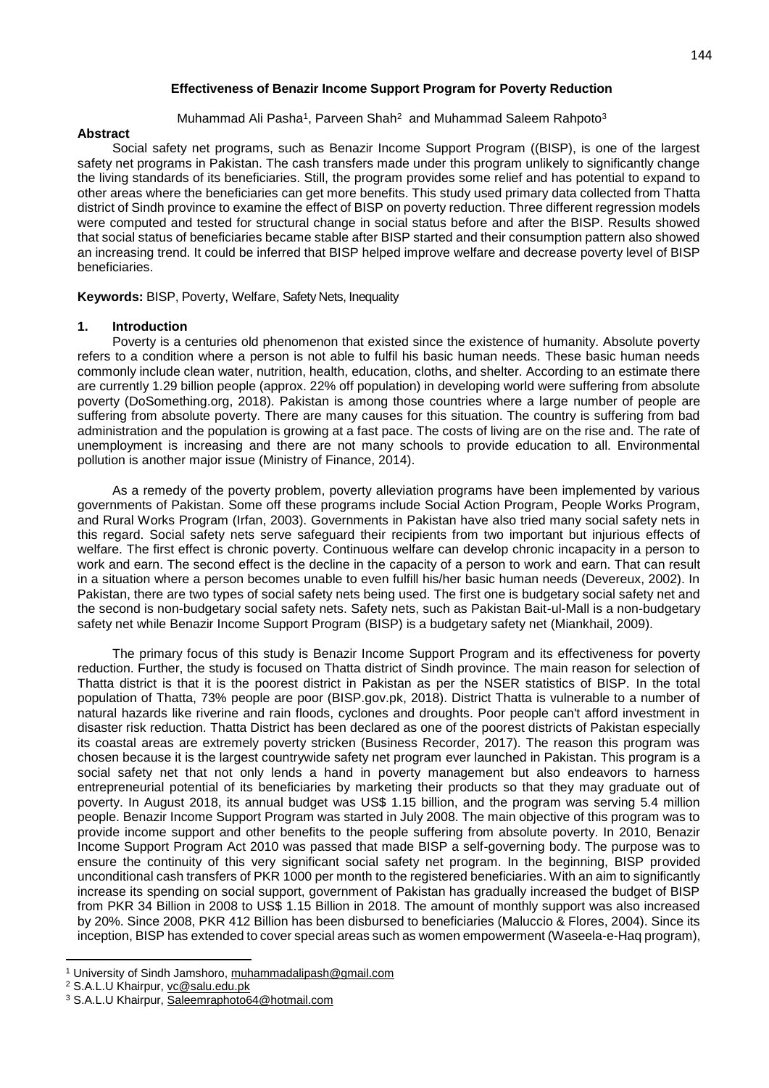# Muhammad Ali Pasha<sup>1</sup>, Parveen Shah<sup>2</sup> and Muhammad Saleem Rahpoto<sup>3</sup>

# **Abstract**

Social safety net programs, such as Benazir Income Support Program ((BISP), is one of the largest safety net programs in Pakistan. The cash transfers made under this program unlikely to significantly change the living standards of its beneficiaries. Still, the program provides some relief and has potential to expand to other areas where the beneficiaries can get more benefits. This study used primary data collected from Thatta district of Sindh province to examine the effect of BISP on poverty reduction. Three different regression models were computed and tested for structural change in social status before and after the BISP. Results showed that social status of beneficiaries became stable after BISP started and their consumption pattern also showed an increasing trend. It could be inferred that BISP helped improve welfare and decrease poverty level of BISP beneficiaries.

**Keywords:** BISP, Poverty, Welfare, Safety Nets, Inequality

# **1. Introduction**

Poverty is a centuries old phenomenon that existed since the existence of humanity. Absolute poverty refers to a condition where a person is not able to fulfil his basic human needs. These basic human needs commonly include clean water, nutrition, health, education, cloths, and shelter. According to an estimate there are currently 1.29 billion people (approx. 22% off population) in developing world were suffering from absolute poverty (DoSomething.org, 2018). Pakistan is among those countries where a large number of people are suffering from absolute poverty. There are many causes for this situation. The country is suffering from bad administration and the population is growing at a fast pace. The costs of living are on the rise and. The rate of unemployment is increasing and there are not many schools to provide education to all. Environmental pollution is another major issue (Ministry of Finance, 2014).

As a remedy of the poverty problem, poverty alleviation programs have been implemented by various governments of Pakistan. Some off these programs include Social Action Program, People Works Program, and Rural Works Program (Irfan, 2003). Governments in Pakistan have also tried many social safety nets in this regard. Social safety nets serve safeguard their recipients from two important but injurious effects of welfare. The first effect is chronic poverty. Continuous welfare can develop chronic incapacity in a person to work and earn. The second effect is the decline in the capacity of a person to work and earn. That can result in a situation where a person becomes unable to even fulfill his/her basic human needs (Devereux, 2002). In Pakistan, there are two types of social safety nets being used. The first one is budgetary social safety net and the second is non-budgetary social safety nets. Safety nets, such as Pakistan Bait-ul-Mall is a non-budgetary safety net while Benazir Income Support Program (BISP) is a budgetary safety net (Miankhail, 2009).

The primary focus of this study is Benazir Income Support Program and its effectiveness for poverty reduction. Further, the study is focused on Thatta district of Sindh province. The main reason for selection of Thatta district is that it is the poorest district in Pakistan as per the NSER statistics of BISP. In the total population of Thatta, 73% people are poor (BISP.gov.pk, 2018). District Thatta is vulnerable to a number of natural hazards like riverine and rain floods, cyclones and droughts. Poor people can't afford investment in disaster risk reduction. Thatta District has been declared as one of the poorest districts of Pakistan especially its coastal areas are extremely poverty stricken (Business Recorder, 2017). The reason this program was chosen because it is the largest countrywide safety net program ever launched in Pakistan. This program is a social safety net that not only lends a hand in poverty management but also endeavors to harness entrepreneurial potential of its beneficiaries by marketing their products so that they may graduate out of poverty. In August 2018, its annual budget was US\$ 1.15 billion, and the program was serving 5.4 million people. Benazir Income Support Program was started in July 2008. The main objective of this program was to provide income support and other benefits to the people suffering from absolute poverty. In 2010, Benazir Income Support Program Act 2010 was passed that made BISP a self-governing body. The purpose was to ensure the continuity of this very significant social safety net program. In the beginning, BISP provided unconditional cash transfers of PKR 1000 per month to the registered beneficiaries. With an aim to significantly increase its spending on social support, government of Pakistan has gradually increased the budget of BISP from PKR 34 Billion in 2008 to US\$ 1.15 Billion in 2018. The amount of monthly support was also increased by 20%. Since 2008, PKR 412 Billion has been disbursed to beneficiaries (Maluccio & Flores, 2004). Since its inception, BISP has extended to cover special areas such as women empowerment (Waseela-e-Haq program),

**<sup>.</sup>** <sup>1</sup> University of Sindh Jamshoro, muhammadalipash@gmail.com

<sup>&</sup>lt;sup>2</sup> S.A.L.U Khairpur, vc@salu.edu.pk

<sup>&</sup>lt;sup>3</sup> S.A.L.U Khairpur, Saleemraphoto64@hotmail.com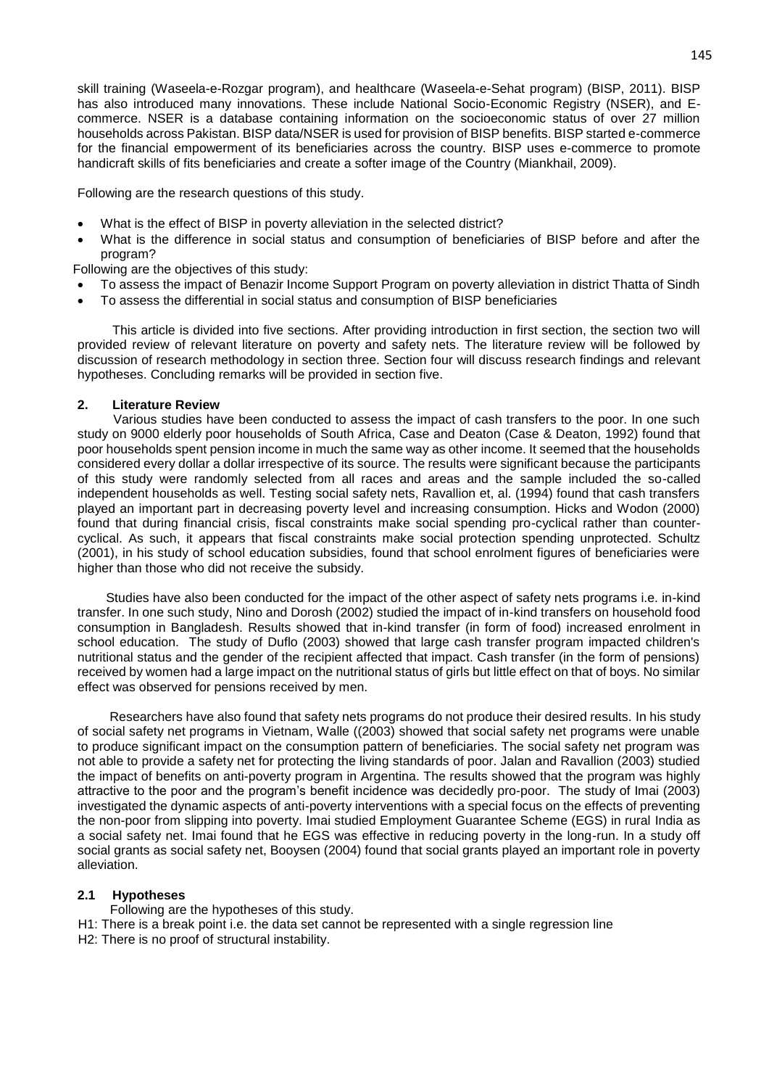skill training (Waseela-e-Rozgar program), and healthcare (Waseela-e-Sehat program) (BISP, 2011). BISP has also introduced many innovations. These include National Socio-Economic Registry (NSER), and Ecommerce. NSER is a database containing information on the socioeconomic status of over 27 million households across Pakistan. BISP data/NSER is used for provision of BISP benefits. BISP started e-commerce for the financial empowerment of its beneficiaries across the country. BISP uses e-commerce to promote handicraft skills of fits beneficiaries and create a softer image of the Country (Miankhail, 2009).

Following are the research questions of this study.

- What is the effect of BISP in poverty alleviation in the selected district?
- What is the difference in social status and consumption of beneficiaries of BISP before and after the program?

Following are the objectives of this study:

- To assess the impact of Benazir Income Support Program on poverty alleviation in district Thatta of Sindh
- To assess the differential in social status and consumption of BISP beneficiaries

This article is divided into five sections. After providing introduction in first section, the section two will provided review of relevant literature on poverty and safety nets. The literature review will be followed by discussion of research methodology in section three. Section four will discuss research findings and relevant hypotheses. Concluding remarks will be provided in section five.

## **2. Literature Review**

 Various studies have been conducted to assess the impact of cash transfers to the poor. In one such study on 9000 elderly poor households of South Africa, Case and Deaton (Case & Deaton, 1992) found that poor households spent pension income in much the same way as other income. It seemed that the households considered every dollar a dollar irrespective of its source. The results were significant because the participants of this study were randomly selected from all races and areas and the sample included the so-called independent households as well. Testing social safety nets, Ravallion et, al. (1994) found that cash transfers played an important part in decreasing poverty level and increasing consumption. Hicks and Wodon (2000) found that during financial crisis, fiscal constraints make social spending pro-cyclical rather than countercyclical. As such, it appears that fiscal constraints make social protection spending unprotected. Schultz (2001), in his study of school education subsidies, found that school enrolment figures of beneficiaries were higher than those who did not receive the subsidy.

 Studies have also been conducted for the impact of the other aspect of safety nets programs i.e. in-kind transfer. In one such study, Nino and Dorosh (2002) studied the impact of in-kind transfers on household food consumption in Bangladesh. Results showed that in-kind transfer (in form of food) increased enrolment in school education. The study of Duflo (2003) showed that large cash transfer program impacted children's nutritional status and the gender of the recipient affected that impact. Cash transfer (in the form of pensions) received by women had a large impact on the nutritional status of girls but little effect on that of boys. No similar effect was observed for pensions received by men.

 Researchers have also found that safety nets programs do not produce their desired results. In his study of social safety net programs in Vietnam, Walle ((2003) showed that social safety net programs were unable to produce significant impact on the consumption pattern of beneficiaries. The social safety net program was not able to provide a safety net for protecting the living standards of poor. Jalan and Ravallion (2003) studied the impact of benefits on anti-poverty program in Argentina. The results showed that the program was highly attractive to the poor and the program's benefit incidence was decidedly pro-poor. The study of Imai (2003) investigated the dynamic aspects of anti-poverty interventions with a special focus on the effects of preventing the non-poor from slipping into poverty. Imai studied Employment Guarantee Scheme (EGS) in rural India as a social safety net. Imai found that he EGS was effective in reducing poverty in the long-run. In a study off social grants as social safety net, Booysen (2004) found that social grants played an important role in poverty alleviation.

## **2.1 Hypotheses**

 Following are the hypotheses of this study. H1: There is a break point i.e. the data set cannot be represented with a single regression line H2: There is no proof of structural instability.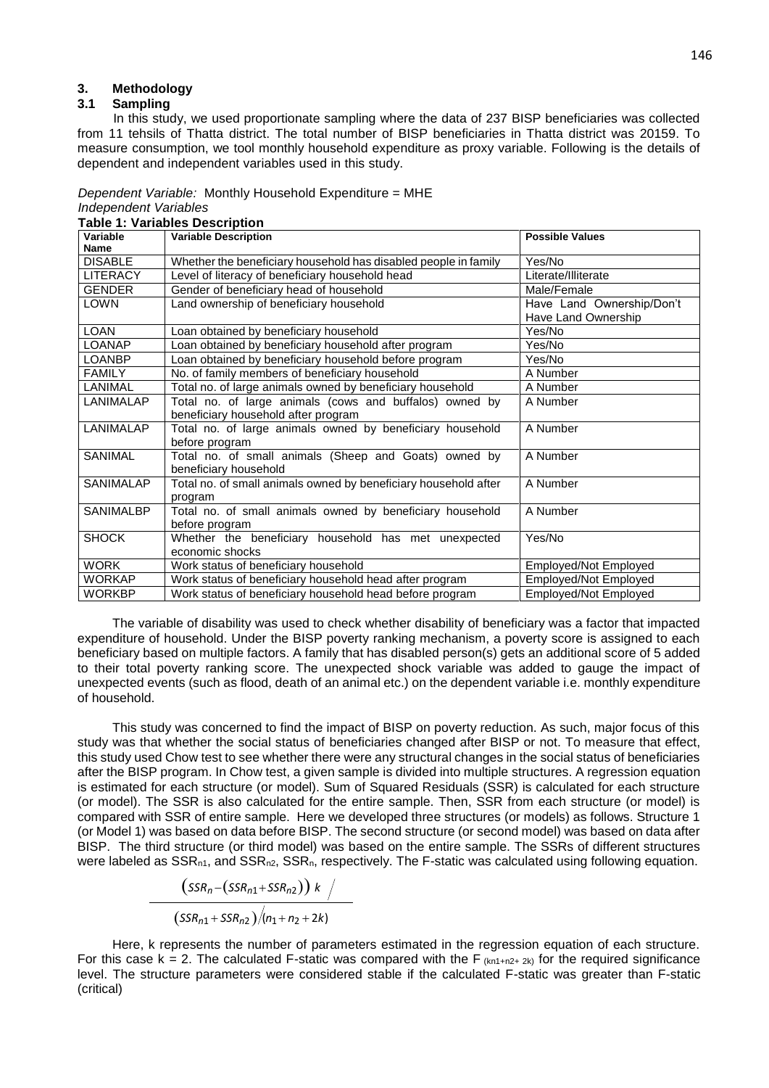#### **3. Methodology**

### **3.1 Sampling**

 In this study, we used proportionate sampling where the data of 237 BISP beneficiaries was collected from 11 tehsils of Thatta district. The total number of BISP beneficiaries in Thatta district was 20159. To measure consumption, we tool monthly household expenditure as proxy variable. Following is the details of dependent and independent variables used in this study.

*Dependent Variable:* Monthly Household Expenditure = MHE *Independent Variables*

| Variable         | <b>Variable Description</b>                                     | <b>Possible Values</b>       |
|------------------|-----------------------------------------------------------------|------------------------------|
| Name             |                                                                 |                              |
| <b>DISABLE</b>   | Whether the beneficiary household has disabled people in family | Yes/No                       |
| <b>LITERACY</b>  | Level of literacy of beneficiary household head                 | Literate/Illiterate          |
| <b>GENDER</b>    | Gender of beneficiary head of household                         | Male/Female                  |
| LOWN             | Land ownership of beneficiary household                         | Have Land Ownership/Don't    |
|                  |                                                                 | Have Land Ownership          |
| <b>LOAN</b>      | Loan obtained by beneficiary household                          | Yes/No                       |
| <b>LOANAP</b>    | Loan obtained by beneficiary household after program            | Yes/No                       |
| <b>LOANBP</b>    | Loan obtained by beneficiary household before program           | Yes/No                       |
| <b>FAMILY</b>    | No. of family members of beneficiary household                  | A Number                     |
| LANIMAL          | Total no. of large animals owned by beneficiary household       | A Number                     |
| LANIMALAP        | Total no. of large animals (cows and buffalos) owned by         | A Number                     |
|                  | beneficiary household after program                             |                              |
| LANIMALAP        | Total no. of large animals owned by beneficiary household       | A Number                     |
|                  | before program                                                  |                              |
| <b>SANIMAL</b>   | Total no. of small animals (Sheep and Goats) owned by           | A Number                     |
|                  | beneficiary household                                           |                              |
| SANIMALAP        | Total no. of small animals owned by beneficiary household after | A Number                     |
|                  | program                                                         |                              |
| <b>SANIMALBP</b> | Total no. of small animals owned by beneficiary household       | A Number                     |
|                  | before program                                                  |                              |
| <b>SHOCK</b>     | Whether the beneficiary household has met unexpected            | Yes/No                       |
|                  | economic shocks                                                 |                              |
| <b>WORK</b>      | Work status of beneficiary household                            | Employed/Not Employed        |
| <b>WORKAP</b>    | Work status of beneficiary household head after program         | <b>Employed/Not Employed</b> |
| <b>WORKBP</b>    | Work status of beneficiary household head before program        | <b>Employed/Not Employed</b> |

The variable of disability was used to check whether disability of beneficiary was a factor that impacted expenditure of household. Under the BISP poverty ranking mechanism, a poverty score is assigned to each beneficiary based on multiple factors. A family that has disabled person(s) gets an additional score of 5 added to their total poverty ranking score. The unexpected shock variable was added to gauge the impact of unexpected events (such as flood, death of an animal etc.) on the dependent variable i.e. monthly expenditure of household.

This study was concerned to find the impact of BISP on poverty reduction. As such, major focus of this study was that whether the social status of beneficiaries changed after BISP or not. To measure that effect, this study used Chow test to see whether there were any structural changes in the social status of beneficiaries after the BISP program. In Chow test, a given sample is divided into multiple structures. A regression equation is estimated for each structure (or model). Sum of Squared Residuals (SSR) is calculated for each structure (or model). The SSR is also calculated for the entire sample. Then, SSR from each structure (or model) is compared with SSR of entire sample. Here we developed three structures (or models) as follows. Structure 1 (or Model 1) was based on data before BISP. The second structure (or second model) was based on data after BISP. The third structure (or third model) was based on the entire sample. The SSRs of different structures were labeled as  $SSR_{n1}$ , and  $SSR_{n2}$ ,  $SSR_n$ , respectively. The F-static was calculated using following equation.

$$
\frac{(SSR_n-(SSR_{n1}+SSR_{n2})) k /}{(SSR_{n1}+SSR_{n2})/(n_1+n_2+2k)}
$$

Here, k represents the number of parameters estimated in the regression equation of each structure. For this case k = 2. The calculated F-static was compared with the F  $(kn1+n2+2k)$  for the required significance level. The structure parameters were considered stable if the calculated F-static was greater than F-static (critical)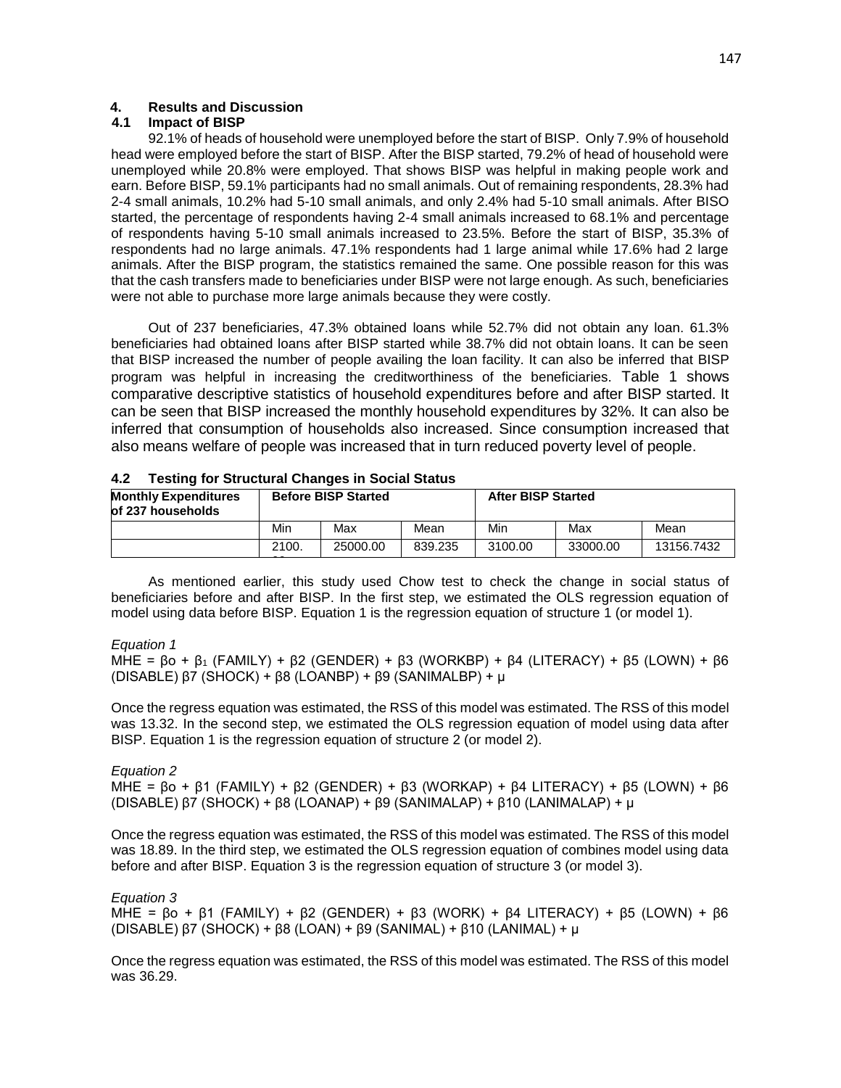# **4. Results and Discussion**

# **4.1 Impact of BISP**

92.1% of heads of household were unemployed before the start of BISP. Only 7.9% of household head were employed before the start of BISP. After the BISP started, 79.2% of head of household were unemployed while 20.8% were employed. That shows BISP was helpful in making people work and earn. Before BISP, 59.1% participants had no small animals. Out of remaining respondents, 28.3% had 2-4 small animals, 10.2% had 5-10 small animals, and only 2.4% had 5-10 small animals. After BISO started, the percentage of respondents having 2-4 small animals increased to 68.1% and percentage of respondents having 5-10 small animals increased to 23.5%. Before the start of BISP, 35.3% of respondents had no large animals. 47.1% respondents had 1 large animal while 17.6% had 2 large animals. After the BISP program, the statistics remained the same. One possible reason for this was that the cash transfers made to beneficiaries under BISP were not large enough. As such, beneficiaries were not able to purchase more large animals because they were costly.

Out of 237 beneficiaries, 47.3% obtained loans while 52.7% did not obtain any loan. 61.3% beneficiaries had obtained loans after BISP started while 38.7% did not obtain loans. It can be seen that BISP increased the number of people availing the loan facility. It can also be inferred that BISP program was helpful in increasing the creditworthiness of the beneficiaries. Table 1 shows comparative descriptive statistics of household expenditures before and after BISP started. It can be seen that BISP increased the monthly household expenditures by 32%. It can also be inferred that consumption of households also increased. Since consumption increased that also means welfare of people was increased that in turn reduced poverty level of people.

| <b>Monthly Expenditures</b><br>of 237 households | <b>Before BISP Started</b> |          |         | <b>After BISP Started</b> |          |            |  |
|--------------------------------------------------|----------------------------|----------|---------|---------------------------|----------|------------|--|
|                                                  | Min                        | Max      | Mean    | Min                       | Max      | Mean       |  |
|                                                  | 2100.                      | 25000.00 | 839.235 | 3100.00                   | 33000.00 | 13156.7432 |  |

| 4.2 | <b>Testing for Structural Changes in Social Status</b> |  |  |  |  |  |
|-----|--------------------------------------------------------|--|--|--|--|--|
|-----|--------------------------------------------------------|--|--|--|--|--|

As mentioned earlier, this study used Chow test to check the change in social status of beneficiaries before and after BISP. In the first step, we estimated the OLS regression equation of model using data before BISP. Equation 1 is the regression equation of structure 1 (or model 1).

## *Equation 1*

MHE =  $β$ o +  $β$ <sub>1</sub> (FAMILY) +  $β$ 2 (GENDER) +  $β$ 3 (WORKBP) +  $β$ 4 (LITERACY) +  $β$ 5 (LOWN) +  $β$ 6 (DISABLE) β7 (SHOCK) + β8 (LOANBP) + β9 (SANIMALBP) + µ

Once the regress equation was estimated, the RSS of this model was estimated. The RSS of this model was 13.32. In the second step, we estimated the OLS regression equation of model using data after BISP. Equation 1 is the regression equation of structure 2 (or model 2).

*Equation 2* MHE =  $βo + β1$  (FAMILY) +  $β2$  (GENDER) +  $β3$  (WORKAP) +  $β4$  LITERACY) +  $β5$  (LOWN) +  $β6$ (DISABLE) β7 (SHOCK) + β8 (LOANAP) + β9 (SANIMALAP) + β10 (LANIMALAP) + µ

Once the regress equation was estimated, the RSS of this model was estimated. The RSS of this model was 18.89. In the third step, we estimated the OLS regression equation of combines model using data before and after BISP. Equation 3 is the regression equation of structure 3 (or model 3).

*Equation 3* MHE =  $β$ o +  $β$ 1 (FAMILY) +  $β$ 2 (GENDER) +  $β$ 3 (WORK) +  $β$ 4 LITERACY) +  $β$ 5 (LOWN) +  $β$ 6 (DISABLE) β7 (SHOCK) + β8 (LOAN) + β9 (SANIMAL) + β10 (LANIMAL) + µ

Once the regress equation was estimated, the RSS of this model was estimated. The RSS of this model was 36.29.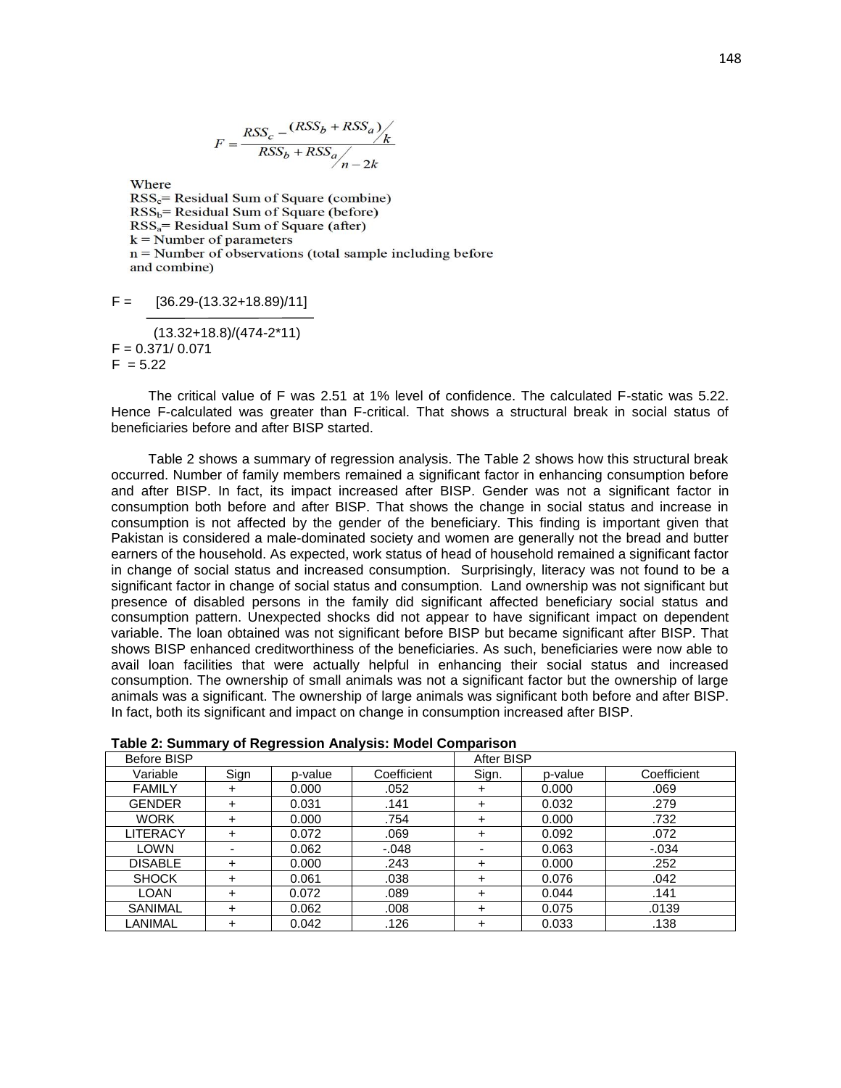$$
F = \frac{RSS_c - \frac{(RSS_b + RSS_a)}{k}}{RSS_b + RSS_a}
$$

Where  $RSS<sub>c</sub> = Residual Sum of Square (combine)$  $RSS_b = Residual Sum of Square (before)$  $RSS<sub>a</sub> = Residual Sum of Square (after)$  $k =$  Number of parameters  $n =$  Number of observations (total sample including before and combine)

```
F = [36.29-(13.32+18.89)/11]
```

```
 (13.32+18.8)/(474-2*11)
F = 0.371/0.071F = 5.22
```
The critical value of F was 2.51 at 1% level of confidence. The calculated F-static was 5.22. Hence F-calculated was greater than F-critical. That shows a structural break in social status of beneficiaries before and after BISP started.

Table 2 shows a summary of regression analysis. The Table 2 shows how this structural break occurred. Number of family members remained a significant factor in enhancing consumption before and after BISP. In fact, its impact increased after BISP. Gender was not a significant factor in consumption both before and after BISP. That shows the change in social status and increase in consumption is not affected by the gender of the beneficiary. This finding is important given that Pakistan is considered a male-dominated society and women are generally not the bread and butter earners of the household. As expected, work status of head of household remained a significant factor in change of social status and increased consumption. Surprisingly, literacy was not found to be a significant factor in change of social status and consumption. Land ownership was not significant but presence of disabled persons in the family did significant affected beneficiary social status and consumption pattern. Unexpected shocks did not appear to have significant impact on dependent variable. The loan obtained was not significant before BISP but became significant after BISP. That shows BISP enhanced creditworthiness of the beneficiaries. As such, beneficiaries were now able to avail loan facilities that were actually helpful in enhancing their social status and increased consumption. The ownership of small animals was not a significant factor but the ownership of large animals was a significant. The ownership of large animals was significant both before and after BISP. In fact, both its significant and impact on change in consumption increased after BISP.

| rable 2. Julilliai y of Regiession Analysis. Mouel Companson |      |         |             |            |         |             |
|--------------------------------------------------------------|------|---------|-------------|------------|---------|-------------|
| Before BISP                                                  |      |         |             | After BISP |         |             |
| Variable                                                     | Sign | p-value | Coefficient | Sign.      | p-value | Coefficient |
| <b>FAMILY</b>                                                | ÷    | 0.000   | .052        | $\pm$      | 0.000   | .069        |
| <b>GENDER</b>                                                | ÷    | 0.031   | .141        | $\div$     | 0.032   | .279        |
| <b>WORK</b>                                                  | ÷    | 0.000   | .754        | $\div$     | 0.000   | .732        |
| LITERACY                                                     | ÷    | 0.072   | .069        | $\div$     | 0.092   | .072        |
| LOWN                                                         |      | 0.062   | $-.048$     |            | 0.063   | $-.034$     |
| <b>DISABLE</b>                                               | ÷    | 0.000   | .243        | $\div$     | 0.000   | .252        |
| <b>SHOCK</b>                                                 | ÷    | 0.061   | .038        | $\div$     | 0.076   | .042        |
| <b>LOAN</b>                                                  | ÷    | 0.072   | .089        | $\div$     | 0.044   | .141        |
| <b>SANIMAL</b>                                               | ÷    | 0.062   | .008        | $\div$     | 0.075   | .0139       |
| LANIMAL                                                      |      | 0.042   | .126        | $\ddot{}$  | 0.033   | .138        |